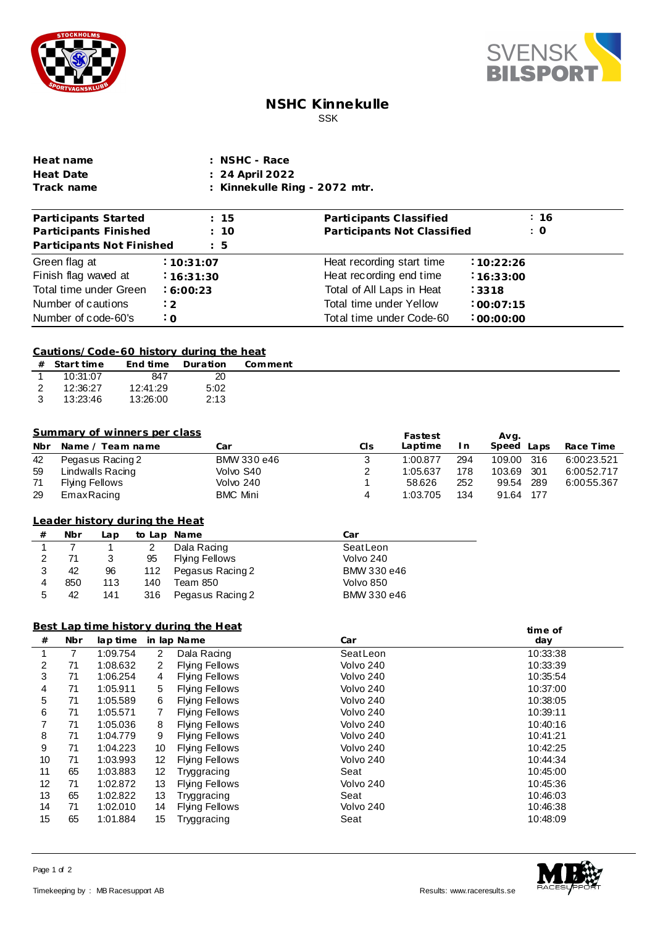



## **NSHC Kinnekulle** SSK

| Heat name  | : NSHC - Race                            |
|------------|------------------------------------------|
| Heat Date  | : 24 April 2022                          |
| Track name | $\therefore$ Kinnekulle Ring - 2072 mtr. |

| Participants Started      | : 15           | Participants Classified     | :16        |
|---------------------------|----------------|-----------------------------|------------|
| Participants Finished     | : 10           | Participants Not Classified | $\colon$ O |
| Participants Not Finished | $\therefore$ 5 |                             |            |
| Green flag at             | :10:31:07      | Heat recording start time   | :10:22:26  |
| Finish flag waved at      | 16:31:30       | Heat recording end time     | 16:33:00   |
| Total time under Green    | 6:00:23        | Total of All Laps in Heat   | 3318       |
| Number of cautions        | :2             | Total time under Yellow     | :00:07:15  |
| Number of code-60's       | $\cdot$ O      | Total time under Code-60    | :00:00:00  |

### **Cautions/Code-60 history during the heat**

|    | $#$ Start time |          | End time Duration | Comment |
|----|----------------|----------|-------------------|---------|
|    | 10:31:07       | 847      | 20                |         |
| 2  | 12:36:27       | 12:41:29 | 5:02              |         |
| -3 | 13:23:46       | 13:26:00 | 2:13              |         |

### **Summary of winners per class**

|     | Summary of winners per class |                 |     | Fastest  |     | Avg.           |             |
|-----|------------------------------|-----------------|-----|----------|-----|----------------|-------------|
| Nbr | Name / Team name             | Car             | CIs | Laptime  | In  | Speed<br>Laps  | Race Time   |
| 42  | Pegasus Racing 2             | BMW 330 e46     |     | 1:00.877 | 294 | 109.00<br>-316 | 6:00:23.521 |
| 59  | Lindwalls Racing             | Volvo S40       | 2   | 1:05.637 | 178 | 301<br>103.69  | 6:00:52.717 |
| 71  | Flying Fellows               | Volvo 240       |     | 58.626   | 252 | 289<br>99.54   | 6:00:55.367 |
| 29  | EmaxRacing                   | <b>BMC Mini</b> | 4   | 1:03.705 | 134 | 91.64 177      |             |

## **from Leader history dur ing the Heat**

| # | Nbr | Lap | to Lap Name |                       | Car         |
|---|-----|-----|-------------|-----------------------|-------------|
|   |     |     | 2           | Dala Racing           | SeatLeon    |
| 2 | 71  | 3   | 95          | <b>Flying Fellows</b> | Volvo 240   |
| 3 | 42  | 96  | 112         | Pegasus Racing 2      | BMW 330 e46 |
|   | 850 | 113 | 140         | Team 850              | Volvo 850   |
| 5 | 42  | 141 | 316         | Pegasus Racing 2      | BMW 330 e46 |

### **Best Lap time history during the Heat**

| <u>Best Lap time history during the Heat</u> |            |          |                |                       |           | time of  |
|----------------------------------------------|------------|----------|----------------|-----------------------|-----------|----------|
| #                                            | <b>Nbr</b> | lap time |                | in lap Name           | Car       | day      |
|                                              |            | 1:09.754 | $\overline{2}$ | Dala Racing           | SeatLeon  | 10:33:38 |
| 2                                            | 71         | 1:08.632 | 2              | <b>Flying Fellows</b> | Volvo 240 | 10:33:39 |
| 3                                            | 71         | 1:06.254 | 4              | Flying Fellows        | Volvo 240 | 10:35:54 |
| 4                                            | 71         | 1:05.911 | 5              | <b>Flying Fellows</b> | Volvo 240 | 10:37:00 |
| 5                                            | 71         | 1:05.589 | 6              | <b>Flying Fellows</b> | Volvo 240 | 10:38:05 |
| 6                                            | 71         | 1:05.571 | 7              | Flying Fellows        | Volvo 240 | 10:39:11 |
|                                              | 71         | 1:05.036 | 8              | <b>Flying Fellows</b> | Volvo 240 | 10:40:16 |
| 8                                            | 71         | 1:04.779 | 9              | Flying Fellows        | Volvo 240 | 10:41:21 |
| 9                                            | 71         | 1:04.223 | 10             | <b>Flying Fellows</b> | Volvo 240 | 10:42:25 |
| 10                                           | 71         | 1:03.993 | 12             | Flying Fellows        | Volvo 240 | 10:44:34 |
| 11                                           | 65         | 1:03.883 | 12             | Tryggracing           | Seat      | 10:45:00 |
| 12                                           | 71         | 1:02.872 | 13             | Flying Fellows        | Volvo 240 | 10:45:36 |
| 13                                           | 65         | 1:02.822 | 13             | Tryggracing           | Seat      | 10:46:03 |
| 14                                           | 71         | 1:02.010 | 14             | Flying Fellows        | Volvo 240 | 10:46:38 |
| 15                                           | 65         | 1:01.884 | 15             | Tryggracing           | Seat      | 10:48:09 |